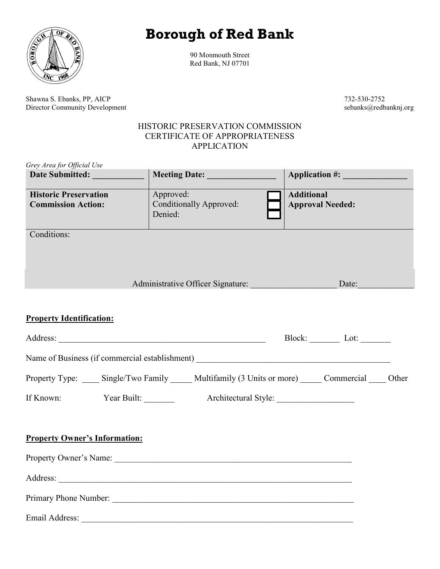## **Borough of Red Bank**



90 Monmouth Street Red Bank, NJ 07701

Shawna S. Ebanks, PP, AICP 732-530-2752<br>Director Community Development expansion of the second section of the second section of the second section of the second section of the second section of the second section of the se Director Community Development

## HISTORIC PRESERVATION COMMISSION CERTIFICATE OF APPROPRIATENESS APPLICATION

| Grey Area for Official Use                                |                                                                                 |                                              |  |
|-----------------------------------------------------------|---------------------------------------------------------------------------------|----------------------------------------------|--|
| Date Submitted:                                           |                                                                                 |                                              |  |
| <b>Historic Preservation</b><br><b>Commission Action:</b> | Approved:<br>Conditionally Approved:<br>Denied:                                 | <b>Additional</b><br><b>Approval Needed:</b> |  |
| Conditions:                                               |                                                                                 |                                              |  |
|                                                           | Administrative Officer Signature: Date: Date:                                   |                                              |  |
| <b>Property Identification:</b>                           |                                                                                 |                                              |  |
|                                                           |                                                                                 | Block: Lot:                                  |  |
|                                                           |                                                                                 |                                              |  |
|                                                           | Property Type: Single/Two Family Multifamily (3 Units or more) Commercial Other |                                              |  |
| If Known:<br>Year Built:                                  |                                                                                 |                                              |  |
| <b>Property Owner's Information:</b>                      |                                                                                 |                                              |  |
|                                                           | Property Owner's Name: 2008. [2016] Property Owner's Name:                      |                                              |  |
|                                                           |                                                                                 |                                              |  |
|                                                           | Primary Phone Number:                                                           |                                              |  |
| Email Address:                                            |                                                                                 |                                              |  |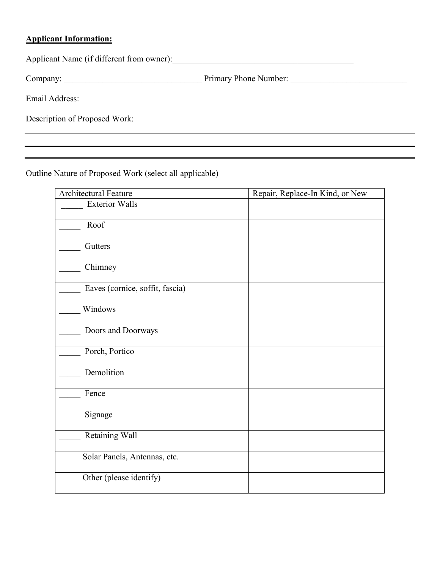## **Applicant Information:**

Applicant Name (if different from owner):\_\_\_\_\_\_\_\_\_\_\_\_\_\_\_\_\_\_\_\_\_\_\_\_\_\_\_\_\_\_\_\_\_\_\_\_\_\_\_\_\_\_

Company: \_\_\_\_\_\_\_\_\_\_\_\_\_\_\_\_\_\_\_\_\_\_\_\_\_\_\_\_\_\_\_\_ Primary Phone Number: \_\_\_\_\_\_\_\_\_\_\_\_\_\_\_\_\_\_\_\_\_\_\_\_\_\_\_

Email Address: \_\_\_\_\_\_\_\_\_\_\_\_\_\_\_\_\_\_\_\_\_\_\_\_\_\_\_\_\_\_\_\_\_\_\_\_\_\_\_\_\_\_\_\_\_\_\_\_\_\_\_\_\_\_\_\_\_\_\_\_\_\_\_

Description of Proposed Work:

Outline Nature of Proposed Work (select all applicable)

| <b>Architectural Feature</b>    | Repair, Replace-In Kind, or New |
|---------------------------------|---------------------------------|
| <b>Exterior Walls</b>           |                                 |
| Roof                            |                                 |
| Gutters                         |                                 |
| Chimney                         |                                 |
| Eaves (cornice, soffit, fascia) |                                 |
| Windows                         |                                 |
| Doors and Doorways              |                                 |
| Porch, Portico                  |                                 |
| Demolition                      |                                 |
| Fence                           |                                 |
| Signage                         |                                 |
| Retaining Wall                  |                                 |
| Solar Panels, Antennas, etc.    |                                 |
| Other (please identify)         |                                 |